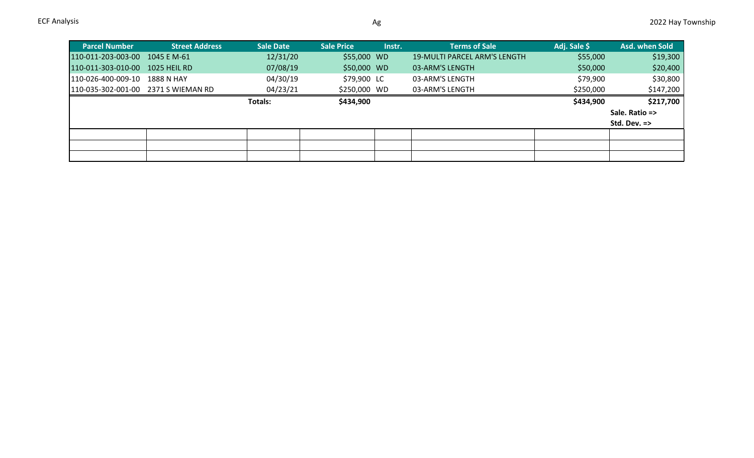| <b>Parcel Number</b>                | <b>Street Address</b> | <b>Sale Date</b> | <b>Sale Price</b> | Instr. | <b>Terms of Sale</b>                | Adj. Sale \$ | Asd. when Sold          |
|-------------------------------------|-----------------------|------------------|-------------------|--------|-------------------------------------|--------------|-------------------------|
| 110-011-203-003-00 1045 E M-61      |                       | 12/31/20         | \$55,000 WD       |        | <b>19-MULTI PARCEL ARM'S LENGTH</b> | \$55,000     | \$19,300                |
| 110-011-303-010-00                  | 1025 HEIL RD          | 07/08/19         | \$50,000 WD       |        | 03-ARM'S LENGTH                     | \$50,000     | \$20,400                |
| 110-026-400-009-10                  | 1888 N HAY            | 04/30/19         | \$79,900 LC       |        | 03-ARM'S LENGTH                     | \$79,900     | \$30,800                |
| 110-035-302-001-00 2371 S WIEMAN RD |                       | 04/23/21         | \$250,000 WD      |        | 03-ARM'S LENGTH                     | \$250,000    | \$147,200               |
|                                     |                       | <b>Totals:</b>   | \$434,900         |        |                                     | \$434,900    | \$217,700               |
|                                     |                       |                  |                   |        |                                     |              | Sale. Ratio =>          |
|                                     |                       |                  |                   |        |                                     |              | Std. Dev. $\Rightarrow$ |
|                                     |                       |                  |                   |        |                                     |              |                         |
|                                     |                       |                  |                   |        |                                     |              |                         |
|                                     |                       |                  |                   |        |                                     |              |                         |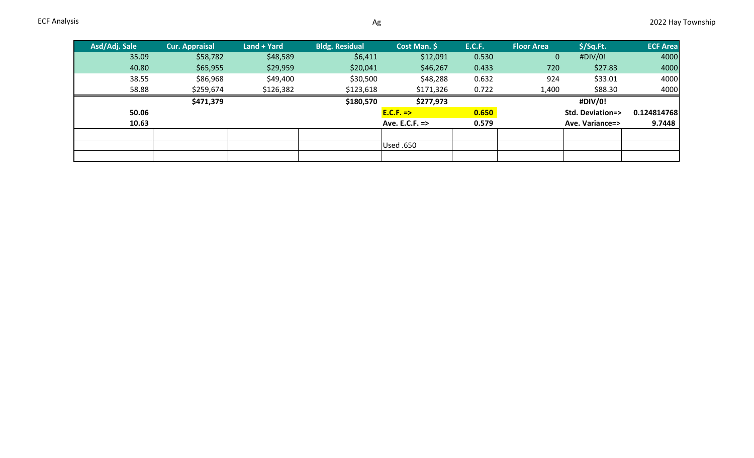| Asd/Adj. Sale | Cur. Appraisal | Land + Yard | <b>Bldg. Residual</b> | Cost Man. \$         | <b>E.C.F.</b> | <b>Floor Area</b> | $$$ /Sq.Ft.                | <b>ECF Area</b> |
|---------------|----------------|-------------|-----------------------|----------------------|---------------|-------------------|----------------------------|-----------------|
| 35.09         | \$58,782       | \$48,589    | \$6,411               | \$12,091             | 0.530         | $\overline{0}$    | #DIV/0!                    | 4000            |
| 40.80         | \$65,955       | \$29,959    | \$20,041              | \$46,267             | 0.433         | 720               | \$27.83                    | 4000            |
| 38.55         | \$86,968       | \$49,400    | \$30,500              | \$48,288             | 0.632         | 924               | \$33.01                    | 4000            |
| 58.88         | \$259,674      | \$126,382   | \$123,618             | \$171,326            | 0.722         | 1,400             | \$88.30                    | 4000            |
|               | \$471,379      |             | \$180,570             | \$277,973            |               |                   | #DIV/0!                    |                 |
| 50.06         |                |             |                       | $E.C.F. \Rightarrow$ | 0.650         |                   | <b>Std. Deviation=&gt;</b> | 0.124814768     |
| 10.63         |                |             |                       | Ave. E.C.F. =>       | 0.579         |                   | Ave. Variance=>            | 9.7448          |
|               |                |             |                       |                      |               |                   |                            |                 |
|               |                |             |                       | Used .650            |               |                   |                            |                 |
|               |                |             |                       |                      |               |                   |                            |                 |